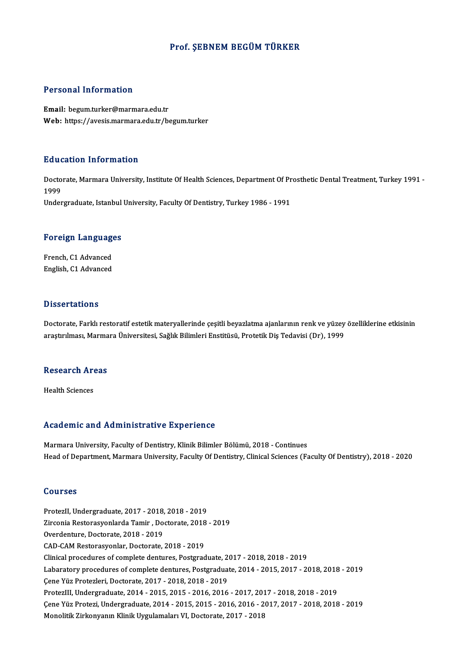#### Prof. ŞEBNEM BEGÜM TÜRKER

#### Personal Information

Email: begum.turker@marmara.edu.tr Web: https://avesis.marmara.edu.tr/begum.turker

#### Education Information

**Education Information**<br>Doctorate, Marmara University, Institute Of Health Sciences, Department Of Prosthetic Dental Treatment, Turkey 1991 -<br>1999 Huut<br>Docto<br>1999<br><sup>Under</sup> 1999<br>Undergraduate, Istanbul University, Faculty Of Dentistry, Turkey 1986 - 1991

# <sub>ondergraduate, istanbul</sub><br>Foreign Languages

**Foreign Language<br>French, C1 Advanced<br>English, C1 Advanced** French, C1 Advanced<br>English, C1 Advanced

#### **Dissertations**

Dissertations<br>Doctorate, Farklı restoratif estetik materyallerinde çeşitli beyazlatma ajanlarının renk ve yüzey özelliklerine etkisinin<br>arastırılması, Marmara Üniversitesi, Sağlık Bilimleri Enstitüsü, Pretetik Dis Tedavisi 2 1555 tatromo<br>Doctorate, Farklı restoratif estetik materyallerinde çeşitli beyazlatma ajanlarının renk ve yüzey<br>araştırılması, Marmara Üniversitesi, Sağlık Bilimleri Enstitüsü, Protetik Diş Tedavisi (Dr), 1999

## araşuruması, marma<br>Research Areas R<mark>esearch Ar</mark><br>Health Sciences

# Health Sciences<br>Academic and Administrative Experience

Marmara University, Faculty of Dentistry, Klinik Bilimler Bölümü, 2018 - Continues Head of Department, Marmara University, Faculty Of Dentistry, Clinical Sciences (Faculty Of Dentistry), 2018 - 2020

#### Courses

Courses<br>ProtezII, Undergraduate, 2017 - 2018, 2018 - 2019<br>Zirsenia Besternsvenlarda Tamir , Desterate, 2018 Zirconia Restorasyonlarda Tamir , Doctorate, 2018 - 2019<br>Overdenture, Doctorate, 2018 - 2019 ProtezII, Undergraduate, 2017 - 2018,<br>Zirconia Restorasyonlarda Tamir , Do<br>Overdenture, Doctorate, 2018 - 2019<br>CAD CAM Bestorasyonlar, Doctorate CAD-CAM Restorasyonlar, Doctorate, 2018 - 2019 Clinical procedures of complete dentures, Postgraduate, 2017 - 2018, 2018 - 2019 CAD-CAM Restorasyonlar, Doctorate, 2018 - 2019<br>Clinical procedures of complete dentures, Postgraduate, 2017 - 2018, 2018 - 2019<br>Labaratory procedures of complete dentures, Postgraduate, 2014 - 2015, 2017 - 2018, 2018 - 201 Clinical procedures of complete dentures, Postgraduate, 2<br>Labaratory procedures of complete dentures, Postgradua<br>Çene Yüz Protezleri, Doctorate, 2017 - 2018, 2018 - 2019<br>Protezlu Undergraduate, 2014, 2015, 2015, 2016, 2016 Labaratory procedures of complete dentures, Postgraduate, 2014 - 2015, 2017 - 2018, 2018<br>Çene Yüz Protezleri, Doctorate, 2017 - 2018, 2018 - 2019<br>ProtezIII, Undergraduate, 2014 - 2015, 2015 - 2016, 2016 - 2017, 2017 - 2018 Çene Yüz Protezleri, Doctorate, 2017 - 2018, 2018 - 2019<br>ProtezIII, Undergraduate, 2014 - 2015, 2015 - 2016, 2016 - 2017, 2017 - 2018, 2018 - 2019<br>Çene Yüz Protezi, Undergraduate, 2014 - 2015, 2015 - 2016, 2016 - 2017, 201 ProtezIII, Undergraduate, 2014 - 2015, 2015 - 2016, 2016 - 2017, 2017 - 2018, 2018 - 2019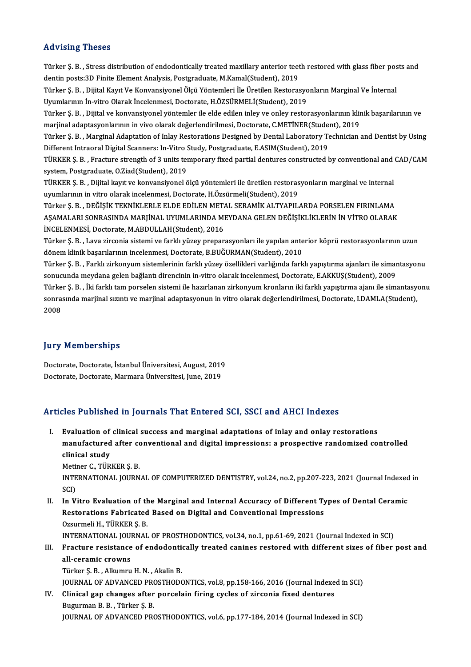#### Advising Theses

Advising Theses<br>Türker Ş. B. , Stress distribution of endodontically treated maxillary anterior teeth restored with glass fiber posts and<br>dantin posts:2D Einite Flament Anglysis, Bostsraduate M.Kamal(Student), 2019 raa viering vireeeer<br>Türker Ş. B. , Stress distribution of endodontically treated maxillary anterior teet<br>dentin posts:3D Finite Element Analysis, Postgraduate, M.Kamal(Student), 2019<br>Türker S. B. , Dijitel Kaut Ve Konvens Türker Ş. B. , Stress distribution of endodontically treated maxillary anterior teeth restored with glass fiber pos<br>dentin posts:3D Finite Element Analysis, Postgraduate, M.Kamal(Student), 2019<br>Türker Ş. B. , Dijital Kayıt dentin posts:3D Finite Element Analysis, Postgraduate, M.Kamal(Student), 2019<br>Türker Ş. B. , Dijital Kayıt Ve Konvansiyonel Ölçü Yöntemleri İle Üretilen Restorasyo<br>Uyumlarının İn-vitro Olarak İncelenmesi, Doctorate, H.ÖZSÜ Türker Ş. B. , Dijital Kayıt Ve Konvansiyonel Ölçü Yöntemleri İle Üretilen Restorasyonların Marginal Ve İnternal<br>Uyumlarının İn-vitro Olarak İncelenmesi, Doctorate, H.ÖZSÜRMELİ(Student), 2019<br>Türker Ş. B. , Dijital ve konv Uyumlarının İn-vitro Olarak İncelenmesi, Doctorate, H.ÖZSÜRMELİ(Student), 2019<br>Türker Ş. B. , Dijital ve konvansiyonel yöntemler ile elde edilen inley ve onley restorasyonlarının klim<br>marjinal adaptasyonlarının in vivo ola Türker Ş. B. , Dijital ve konvansiyonel yöntemler ile elde edilen inley ve onley restorasyonlarının klinik başarılarının ve<br>marjinal adaptationalarının in vivo olarak değerlendirilmesi, Doctorate, C.METİNER(Student), 2019<br> marjinal adaptasyonlarının in vivo olarak değerlendirilmesi, Doctorate, C.METİNER(Stude:<br>Türker Ş. B. , Marginal Adaptation of Inlay Restorations Designed by Dental Laboratory Te<br>Different Intraoral Digital Scanners: In-Vi Türker Ş. B. , Marginal Adaptation of Inlay Restorations Designed by Dental Laboratory Technician and Dentist by Using<br>Different Intraoral Digital Scanners: In-Vitro Study, Postgraduate, E.ASIM(Student), 2019<br>TÜRKER Ş. B. Different Intraoral Digital Scanners: In-Vitro S<br>TÜRKER Ş. B. , Fracture strength of 3 units ter<br>system, Postgraduate, O.Ziad(Student), 2019<br>TÜRKER S. B. , Dijital kaut ve konvansivenel ö TÜRKER Ş. B. , Fracture strength of 3 units temporary fixed partial dentures constructed by conventional and<br>system, Postgraduate, O.Ziad(Student), 2019<br>TÜRKER Ş. B. , Dijital kayıt ve konvansiyonel ölçü yöntemleri ile üre system, Postgraduate, O.Ziad(Student), 2019<br>TÜRKER Ş. B. , Dijital kayıt ve konvansiyonel ölçü yöntemleri ile üretilen restorasyonların marginal ve internal<br>uyumlarının in vitro olarak incelenmesi, Doctorate, H.Özsürmeli(S Türker S.B., DEĞİŞİK TEKNİKLERLE ELDE EDİLEN METAL SERAMİK ALTYAPILARDA PORSELEN FIRINLAMA AŞAMALARI SONRASINDA MARJİNAL UYUMLARINDA MEYDANA GELEN DEĞİŞİKLİKLERİN İN VİTRO OLARAK İNCELENMESİ, Doctorate, M.ABDULLAH(Student), 2016 AŞAMALARI SONRASINDA MARJİNAL UYUMLARINDA MEYDANA GELEN DEĞİŞİKLİKLERİN İN VİTRO OLARAK<br>İNCELENMESİ, Doctorate, M.ABDULLAH(Student), 2016<br>Türker Ş. B. , Lava zirconia sistemi ve farklı yüzey preparasyonları ile yapılan ant İNCELENMESİ, Doctorate, M.ABDULLAH(Student), 2016<br>Türker Ş. B. , Lava zirconia sistemi ve farklı yüzey preparasyonları ile yapılan ante<br>dönem klinik başarılarının incelenmesi, Doctorate, B.BUĞURMAN(Student), 2010<br>Türker S. Türker Ş. B. , Lava zirconia sistemi ve farklı yüzey preparasyonları ile yapılan anterior köprü restorasyonlarının uzun<br>dönem klinik başarılarının incelenmesi, Doctorate, B.BUĞURMAN(Student), 2010<br>Türker Ş. B. , Farklı zir dönem klinik başarılarının incelenmesi, Doctorate, B.BUĞURMAN(Student), 2010<br>Türker Ş. B. , Farklı zirkonyum sistemlerinin farklı yüzey özellikleri varlığında farklı yapıştırma ajanları ile simar<br>sonucunda meydana gelen ba Türker Ş. B. , Farklı zirkonyum sistemlerinin farklı yüzey özellikleri varlığında farklı yapıştırma ajanları ile simantasyonu<br>sonucunda meydana gelen bağlantı direncinin in-vitro olarak incelenmesi, Doctorate, E.AKKUŞ(Stud sonucunda meydana gelen bağlantı direncinin in-vitro olarak incelenmesi, Doctorate, E.AKKUŞ(Student), 2009<br>Türker Ş. B. , İki farklı tam porselen sistemi ile hazırlanan zirkonyum kronların iki farklı yapıştırma ajanı ile s Türke<br>sonra:<br>2008

# 2008<br>Jury Memberships

Doctorate, Doctorate, İstanbul Üniversitesi, August, 2019 Doctorate, Doctorate, Marmara Üniversitesi, June, 2019

# Doctorate, Doctorate, Marmara Universitest, June, 2019<br>Articles Published in Journals That Entered SCI, SSCI and AHCI Indexes

rticles Published in Journals That Entered SCI, SSCI and AHCI Indexes<br>I. Evaluation of clinical success and marginal adaptations of inlay and onlay restorations<br>manufactured after conventional and digital impressions: a pr manufactured after conventional and digital impressions: a prospective randomized controlled<br>manufactured after conventional and digital impressions: a prospective randomized controlled<br>alinical study Evaluation of<br>manufactured<br>clinical study<br>Metiner C. T<sup>rip</sup> manufactured after contineral<br>clinical study<br>Metiner C., TÜRKER Ş. B.<br>INTERNATIONAL JOURN

Metiner C., TÜRKER S. B.

clinical study<br>Metiner C., TÜRKER Ș. B.<br>INTERNATIONAL JOURNAL OF COMPUTERIZED DENTISTRY, vol.24, no.2, pp.207-223, 2021 (Journal Indexed in<br>SCI) INTERNATIONAL JOURNAL OF COMPUTERIZED DENTISTRY, vol.24, no.2, pp.207-223, 2021 (Journal Indexed<br>SCI)<br>II. In Vitro Evaluation of the Marginal and Internal Accuracy of Different Types of Dental Ceramic<br>Pesterations Eshrisat

SCI)<br>In Vitro Evaluation of the Marginal and Internal Accuracy of Different Ty<br>Restorations Fabricated Based on Digital and Conventional Impressions<br>Ozsurmeli H. TüpkER S. P In Vitro Evaluation of the<br>Restorations Fabricated<br>Ozsurmeli H., TÜRKER Ş. B.<br>INTERNATIONAL IOURNAL Restorations Fabricated Based on Digital and Conventional Impressions<br>Ozsurmeli H., TÜRKER Ş. B.<br>INTERNATIONAL JOURNAL OF PROSTHODONTICS, vol.34, no.1, pp.61-69, 2021 (Journal Indexed in SCI)<br>Fracture resistance of andeden

Ozsurmeli H., TÜRKER Ș. B.<br>INTERNATIONAL JOURNAL OF PROSTHODONTICS, vol.34, no.1, pp.61-69, 2021 (Journal Indexed in SCI)<br>III. Fracture resistance of endodontically treated canines restored with different sizes of fibe INTERNATIONAL JOU<br>Fracture resistance<br>all-ceramic crowns<br>Türker S. B. Allumnu Fracture resistance of endodonti<br>all-ceramic crowns<br>Türker Ş.B. , Alkumru H.N. , Akalin B.<br>JOUPNAL OF ADVANCED PROSTHODO all-ceramic crowns<br>Türker Ş. B. , Alkumru H. N. , Akalin B.<br>JOURNAL OF ADVANCED PROSTHODONTICS, vol.8, pp.158-166, 2016 (Journal Indexed in SCI)

IV. Clinical gap changes after porcelain firing cycles of zirconia fixed dentures Bugurman B. B., Türker Ş. B. JOURNAL OF ADVANCED PROSTHODONTICS, vol.6, pp.177-184, 2014 (Journal Indexed in SCI)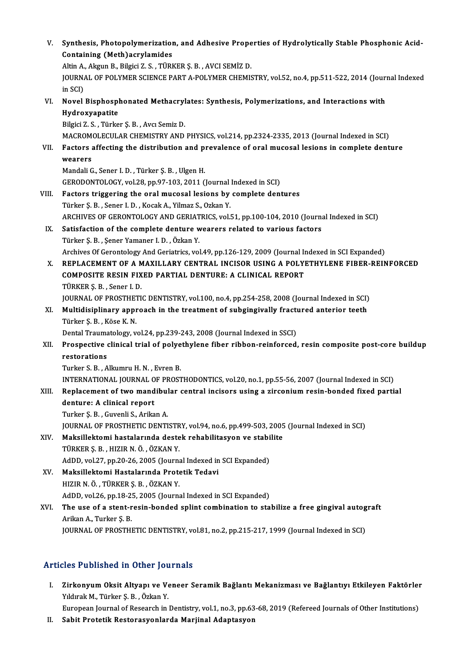| V.    | Synthesis, Photopolymerization, and Adhesive Properties of Hydrolytically Stable Phosphonic Acid-<br><b>Containing (Meth) acrylamides</b> |
|-------|-------------------------------------------------------------------------------------------------------------------------------------------|
|       | Altin A., Akgun B., Bilgici Z. S., TÜRKER Ş. B., AVCI SEMİZ D.                                                                            |
|       | JOURNAL OF POLYMER SCIENCE PART A-POLYMER CHEMISTRY, vol.52, no.4, pp.511-522, 2014 (Journal Indexed<br>in SCI)                           |
| VI.   | Novel Bisphosphonated Methacrylates: Synthesis, Polymerizations, and Interactions with                                                    |
|       | Hydroxyapatite                                                                                                                            |
|       | Bilgici Z. S., Türker Ş. B., Avcı Semiz D.                                                                                                |
|       | MACROMOLECULAR CHEMISTRY AND PHYSICS, vol.214, pp.2324-2335, 2013 (Journal Indexed in SCI)                                                |
| VII.  | Factors affecting the distribution and prevalence of oral mucosal lesions in complete denture                                             |
|       | wearers                                                                                                                                   |
|       | Mandali G., Sener I. D., Türker Ş. B., Ulgen H.                                                                                           |
|       | GERODONTOLOGY, vol.28, pp.97-103, 2011 (Journal Indexed in SCI)                                                                           |
| VIII. | Factors triggering the oral mucosal lesions by complete dentures                                                                          |
|       | Türker Ş. B., Sener I. D., Kocak A., Yilmaz S., Ozkan Y.                                                                                  |
|       | ARCHIVES OF GERONTOLOGY AND GERIATRICS, vol.51, pp.100-104, 2010 (Journal Indexed in SCI)                                                 |
| IX.   | Satisfaction of the complete denture wearers related to various factors                                                                   |
|       | Türker Ş. B., Şener Yamaner I. D., Özkan Y.                                                                                               |
|       | Archives Of Gerontology And Geriatrics, vol.49, pp.126-129, 2009 (Journal Indexed in SCI Expanded)                                        |
| Х.    | REPLACEMENT OF A MAXILLARY CENTRAL INCISOR USING A POLYETHYLENE FIBER-REINFORCED                                                          |
|       | COMPOSITE RESIN FIXED PARTIAL DENTURE: A CLINICAL REPORT                                                                                  |
|       | TÜRKER Ş. B., Sener I. D.                                                                                                                 |
|       | JOURNAL OF PROSTHETIC DENTISTRY, vol.100, no.4, pp.254-258, 2008 (Journal Indexed in SCI)                                                 |
| XI.   | Multidisiplinary approach in the treatment of subgingivally fractured anterior teeth                                                      |
|       | Türker Ş. B., Köse K. N.                                                                                                                  |
|       | Dental Traumatology, vol.24, pp.239-243, 2008 (Journal Indexed in SSCI)                                                                   |
| XII.  | Prospective clinical trial of polyethylene fiber ribbon-reinforced, resin composite post-core buildup                                     |
|       | restorations                                                                                                                              |
|       | Turker S. B., Alkumru H. N., Evren B.                                                                                                     |
|       | INTERNATIONAL JOURNAL OF PROSTHODONTICS, vol.20, no.1, pp.55-56, 2007 (Journal Indexed in SCI)                                            |
| XIII. | Replacement of two mandibular central incisors using a zirconium resin-bonded fixed partial                                               |
|       | denture: A clinical report                                                                                                                |
|       | Turker Ş. B., Guvenli S., Arikan A.                                                                                                       |
|       | JOURNAL OF PROSTHETIC DENTISTRY, vol.94, no.6, pp.499-503, 2005 (Journal Indexed in SCI)                                                  |
| XIV.  | Maksillektomi hastalarında destek rehabilitasyon ve stabilite                                                                             |
|       | TÜRKER Ş. B., HIZIR N. Ö., ÖZKAN Y.                                                                                                       |
|       | AdDD, vol.27, pp.20-26, 2005 (Journal Indexed in SCI Expanded)                                                                            |
| XV.   | Maksillektomi Hastalarında Protetik Tedavi                                                                                                |
|       | HIZIR N. Ö., TÜRKER Ş. B., ÖZKAN Y.                                                                                                       |
|       | AdDD, vol.26, pp.18-25, 2005 (Journal Indexed in SCI Expanded)                                                                            |
| XVI.  | The use of a stent-resin-bonded splint combination to stabilize a free gingival autograft                                                 |
|       | Arikan A, Turker Ş B                                                                                                                      |
|       | JOURNAL OF PROSTHETIC DENTISTRY, vol.81, no.2, pp.215-217, 1999 (Journal Indexed in SCI)                                                  |

#### Articles Published in Other Journals

rticles Published in Other Journals<br>I. Zirkonyum Oksit Altyapı ve Veneer Seramik Bağlantı Mekanizması ve Bağlantıyı Etkileyen Faktörler<br>. Yıldırak M. Türker S. B. Örker Y Yıldırak M., Türker Ş.B. , Özkan Y.<br>Yıldırak M., Türker Ş. B. , Özkan Y.<br>Furansan Jaumal of Bassarsh in. Zirkonyum Oksit Altyapı ve Veneer Seramik Bağlantı Mekanizması ve Bağlantıyı Etkileyen Faktörleı<br>Yıldırak M., Türker Ş. B. , Özkan Y.<br>European Journal of Research in Dentistry, vol.1, no.3, pp.63-68, 2019 (Refereed Journal Yıldırak M., Türker Ş. B. , Özkan Y.<br>European Journal of Research in Dentistry, vol.1, no.3, pp.63-68, 2019 (Refereed Journals of Other Institutions)<br>II. Sabit Protetik Restorasyonlarda Marjinal Adaptasyon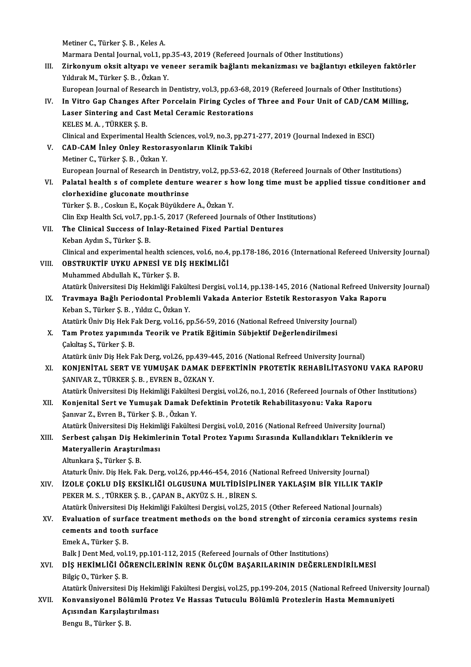Metiner C., Türker Ş.B., Keles A.

Marmara Dental Journal, vol.1, pp.35-43, 2019 (Refereed Journals of Other Institutions)

III. Zirkonyum oksit altyapı ve veneer seramik bağlantı mekanizması ve bağlantıyı etkileyen faktörler YıldırakM.,Türker Ş.B. ,ÖzkanY. Zirkonyum oksit altyapı ve veneer seramik bağlantı mekanizması ve bağlantıyı etkileyen faktö:<br>Yıldırak M., Türker Ş. B. , Özkan Y.<br>European Journal of Research in Dentistry, vol.3, pp.63-68, 2019 (Refereed Journals of Othe

- IV. In Vitro Gap Changes After Porcelain Firing Cycles of Three and Four Unit of CAD/CAM Milling, European Journal of Research in Dentistry, vol.3, pp.63-68, 2<br>In Vitro Gap Changes After Porcelain Firing Cycles of<br>Laser Sintering and Cast Metal Ceramic Restorations<br>VELES M.A., TÜRKER S.R. Laser Sintering and Cast Metal Ceramic Restorations<br>KELES M.A., TÜRKER Ş.B. Laser Sintering and Cast Metal Ceramic Restorations<br>KELES M. A. , TÜRKER Ş. B.<br>Clinical and Experimental Health Sciences, vol.9, no.3, pp.271-277, 2019 (Journal Indexed in ESCI)<br>CAD GAM İnlay Onlay Pesterssyonların Klinik KELES M. A., TÜRKER Ş. B.<br>Clinical and Experimental Health Sciences, vol.9, no.3, pp.27:<br>V. CAD-CAM Inley Onley Restorasyonların Klinik Takibi<br>Metiner G. Türker S. B., Örken Y.
- Clinical and Experimental Health<br>CAD-CAM Inley Onley Restora<br>Metiner C., Türker Ş.B. , Özkan Y.<br>Euronean Journal of Bessensh in V. CAD-CAM İnley Onley Restorasyonların Klinik Takibi<br>Metiner C., Türker Ş. B. , Özkan Y.<br>European Journal of Research in Dentistry, vol.2, pp.53-62, 2018 (Refereed Journals of Other Institutions)
- VI. Palatal health s of complete denture wearer s howlong timemust be applied tissue conditioner and clorhexidine gluconate mouthrinse
	- Türker Ş.B. ,CoskunE.,KoçakBüyükdereA.,ÖzkanY. clorhexidine gluconate mouthrinse<br>Türker Ş. B. , Coskun E., Koçak Büyükdere A., Özkan Y.<br>Clin Exp Health Sci, vol.7, pp.1-5, 2017 (Refereed Journals of Other Institutions)<br>The Clinical Sussess of Inley Betained Fixed Berti

#### VII. The Clinical Success of Inlay-Retained Fixed Partial Dentures<br>Keban Aydın S., Türker S. B. Clin Exp Health Sci, vol.7, pp<br>The Clinical Success of Ir<br>Keban Aydın S., Türker Ş. B.<br>Clinical and aunonimental be The Clinical Success of Inlay-Retained Fixed Partial Dentures<br>Keban Aydın S., Türker Ş. B.<br>Clinical and experimental health sciences, vol.6, no.4, pp.178-186, 2016 (International Refereed University Journal)<br>OBSTRUKTİE UVK

VIII. OBSTRUKTİF UYKU APNESİ VE DİŞ HEKİMLİĞİ<br>Muhammed Abdullah K., Türker Ş. B. Clinical and experimental health science<br>**OBSTRUKTIF UYKU APNESI VE D**<br>Muhammed Abdullah K., Türker Ş. B.<br>Atatürk Üniversitesi Dis Hekimliği Fal Atatürk Üniversitesi Diş Hekimliği Fakültesi Dergisi, vol.14, pp.138-145, 2016 (National Refreed University Journal)

#### Muhammed Abdullah K., Türker Ş. B.<br>Atatürk Üniversitesi Diş Hekimliği Fakültesi Dergisi, vol.14, pp.138-145, 2016 (National Refreed Univer<br>IX. Travmaya Bağlı Periodontal Problemli Vakada Anterior Estetik Restorasyon Va Atatürk Üniversitesi Diş Hekimliği Fakült<br><mark>Travmaya Bağlı Periodontal Proble</mark><br>Keban S., Türker Ş. B. , Yıldız C., Özkan Y.<br>Atatürk Üniv Diş Hek Fek Derg. vel 16. n Travmaya Bağlı Periodontal Problemli Vakada Anterior Estetik Restorasyon Vaka<br>Keban S., Türker Ş. B. , Yıldız C., Özkan Y.<br>Atatürk Üniv Diş Hek Fak Derg, vol.16, pp.56-59, 2016 (National Refreed University Journal)<br>Tam Bro Atatürk Üniv Diş Hek Fak Derg, vol.16, pp.56-59, 2016 (National Refreed University Journal)

## Keban S., Türker Ş. B. , Yıldız C., Özkan Y.<br>Atatürk Üniv Diş Hek Fak Derg, vol.16, pp.56-59, 2016 (National Refreed University Journal X.<br>X. Tam Protez yapımında Teorik ve Pratik Eğitimin Sübjektif Değerlendirilmesi<br>Cakıl Atatürk üniv Diş Hek Fak Derg, vol.26, pp.439-445, 2016 (National Refreed University Journal)

- Cakıltaş S., Türker Ş. B.<br>Atatürk üniv Diş Hek Fak Derg, vol.26, pp.439-445, 2016 (National Refreed University Journal)<br>XI. KONJENİTAL SERT VE YUMUŞAK DAMAK DEFEKTİNİN PROTETİK REHABİLİTASYONU VAKA RAPORU<br>SANIVAR Z. TÜRKER Atatürk üniv Diş Hek Fak Derg, vol.26, pp.439-4<br>**KONJENİTAL SERT VE YUMUŞAK DAMAK** D<br>ŞANIVAR Z., TÜRKER Ş. B. , EVREN B., ÖZKAN Y.<br>Atatürk Üniversitesi Dis Hekimliği Fekültesi Der KONJENİTAL SERT VE YUMUŞAK DAMAK DEFEKTİNİN PROTETİK REHABİLİTASYONU VAKA RAPOR<br>ŞANIVAR Z., TÜRKER Ş. B. , EVREN B., ÖZKAN Y.<br>Atatürk Üniversitesi Diş Hekimliği Fakültesi Dergisi, vol.26, no.1, 2016 (Refereed Journals of O
- XI . Konjenital Sert ve Yumuşak Damak Defektinin Protetik Rehabilitasyonu: Vaka Raporu Atatürk Üniversitesi Diş Hekimliği Fakültes<br>Konjenital Sert ve Yumuşak Damak D<br>Şanıvar Z., Evren B., Türker Ş. B. , Özkan Y.<br>Atatürk Üniversitesi Die Hekimliği Fekültes Konjenital Sert ve Yumuşak Damak Defektinin Protetik Rehabilitasyonu: Vaka Raporu<br>Şanıvar Z., Evren B., Türker Ş. B. , Özkan Y.<br>Atatürk Üniversitesi Diş Hekimliği Fakültesi Dergisi, vol.0, 2016 (National Refreed University Şanıvar Z., Evren B., Türker Ş. B. , Özkan Y.<br>Atatürk Üniversitesi Diş Hekimliği Fakültesi Dergisi, vol.0, 2016 (National Refreed University Journal)<br>XIII. Serbest çalışan Diş Hekimlerinin Total Protez Yapımı Sırasında

## Atatürk Üniversitesi Diş Hekimliği Fakültesi Dergisi, vol.0, 2016 (National Refreed University Journal)<br>Serbest çalışan Diş Hekimlerinin Total Protez Yapımı Sırasında Kullandıkları Tekniklerin (Materyallerin Araştırılması) Serbest çalışan Diş He<br>Materyallerin Araştırı<br>Altunkara Ş., Türker Ş.B.<br>Ataturk Üniv Diş Hok Fa

Materyallerin Araştırılması<br>Altunkara Ş., Türker Ş. B.<br>Ataturk Üniv. Diş Hek. Fak. Derg, vol.26, pp.446-454, 2016 (National Refreed University Journal)<br>İZOLE COKLU DİS EKSİKLİĞİ OLCUSUNA MULTİDİSİRLİNER YAKLASIM RİR VILLIK Altunkara Ş., Türker Ş. B.<br>Ataturk Üniv. Diş Hek. Fak. Derg, vol.26, pp.446-454, 2016 (National Refreed University Journal)<br>XIV. İZOLE ÇOKLU DİŞ EKSİKLİĞİ OLGUSUNA MULTİDİSİPLİNER YAKLAŞIM BİR YILLIK TAKİP<br>PEKER M. S., TÜR Ataturk Üniv. Diş Hek. Fak. Derg, vol.26, pp.446-454, 2016 (N<br>İZOLE ÇOKLU DİŞ EKSİKLİĞİ OLGUSUNA MULTİDİSİPL<br>PEKER M. S. , TÜRKER Ş. B. , ÇAPAN B., AKYÜZ S. H. , BİREN S.<br>Atatürk Üniversitesi Diş Hekimliği Fekültesi Dersis İZOLE ÇOKLU DİŞ EKSİKLİĞİ OLGUSUNA MULTİDİSİPLİNER YAKLAŞIM BİR YILLIK TAKİP<br>PEKER M. S., TÜRKER Ş. B. , ÇAPAN B., AKYÜZ S. H. , BİREN S.<br>Atatürk Üniversitesi Diş Hekimliği Fakültesi Dergisi, vol.25, 2015 (Other Refereed N

- PEKER M. S. , TÜRKER Ş. B. , ÇAPAN B., AKYÜZ S. H. , BİREN S.<br>Atatürk Üniversitesi Diş Hekimliği Fakültesi Dergisi, vol.25, 2015 (Other Refereed National Journals)<br>XV. Evaluation of surface treatment methods on the bon Atatürk Üniversitesi Diş Hekimliği Fakültesi Dergisi, vol.25, 2015 (Other Refereed National Journals)<br>Evaluation of surface treatment methods on the bond strenght of zirconia ceramics syst<br>cements and tooth surface<br>Emek A. Evaluation of surfa<br>cements and tooth<br>Emek A., Türker Ş.B.<br>Polk I Dont Med vel.
	-

Balk J Dent Med, vol.19, pp.101-112, 2015 (Refereed Journals of Other Institutions)

### Emek A., Türker Ş. B.<br>Balk J Dent Med, vol.19, pp.101-112, 2015 (Refereed Journals of Other Institutions)<br>XVI. DİŞ HEKİMLİĞİ ÖĞRENCİLERİNİN RENK ÖLÇÜM BAŞARILARININ DEĞERLENDİRİLMESİ<br>Pilgis Q. Türker S. B Balk J Dent Med, vol.<br>D**İŞ HEKİMLİĞİ ÖĞ**<br>Bilgiç O., Türker Ş. B.<br>Atatürk Üniversitesi DİŞ HEKİMLİĞİ ÖĞRENCİLERİNİN RENK ÖLÇÜM BAŞARILARININ DEĞERLENDİRİLMESİ<br>Bilgiç O., Türker Ş. B.<br>Atatürk Üniversitesi Diş Hekimliği Fakültesi Dergisi, vol.25, pp.199-204, 2015 (National Refreed University Journal)<br>Konvensiy

Bilgiç O., Türker Ş. B.<br>Atatürk Üniversitesi Diş Hekimliği Fakültesi Dergisi, vol.25, pp.199-204, 2015 (National Refreed Universi<br>XVII. Konvansiyonel Bölümlü Protez Ve Hassas Tutuculu Bölümlü Protezlerin Hasta Memnuniyeti Atatürk Üniversitesi Diş Hekim<br>Konvansiyonel Bölümlü Pre<br>Açısından Karşılaştırılması<br>Bengu B. Türken S. B Konvansiyonel Bölümlü Protez Ve Hassas Tutuculu Bölümlü Protezlerin Hasta Memnuniyeti<br>Açısından Karşılaştırılması<br>Bengu B., Türker Ş.B.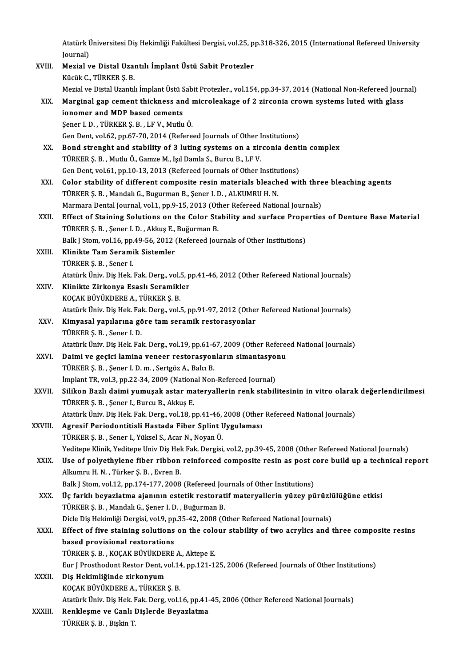Atatürk Üniversitesi Diş Hekimliği Fakültesi Dergisi, vol.25, pp.318-326, 2015 (International Refereed University<br>Iournal) Atatürk (<br>Journal)<br>Merial v Atatürk Üniversitesi Diş Hekimliği Fakültesi Dergisi, vol.25, p<br>Journal)<br>XVIII. Mezial ve Distal Uzantılı İmplant Üstü Sabit Protezler<br>Küsük C. TÜRKER S. B

Journal)<br>Mezial ve Distal Uzantılı İmplant Üstü Sabit Protezler<br>Kücük C., TÜRKER Ş. B. Mezial ve Distal Uzantılı İmplant Üstü Sabit Protezler<br>Kücük C., TÜRKER Ş. B.<br>Mezial ve Distal Uzantılı İmplant Üstü Sabit Protezler., vol.154, pp.34-37, 2014 (National Non-Refereed Journal)<br>Marginal gan camant thicknass a Kücük C., TÜRKER Ș. B.<br>Mezial ve Distal Uzantılı İmplant Üstü Sabit Protezler., vol.154, pp.34-37, 2014 (National Non-Refereed Journ<br>XIX. Marginal gap cement thickness and microleakage of 2 zirconia crown systems luted

|      | Mezial ve Distal Uzantılı İmplant Üstü Sabit Protezler., vol.154, pp.34-37, 2014 (National Non-Refereed Jour |
|------|--------------------------------------------------------------------------------------------------------------|
| XIX. | Marginal gap cement thickness and microleakage of 2 zirconia crown systems luted with glass                  |
|      | ionomer and MDP based cements                                                                                |
|      | Sener I.D., TÜRKER S.B., LF V., Mutlu Ö.                                                                     |
|      | Gen Dent, vol.62, pp.67-70, 2014 (Refereed Journals of Other Institutions)                                   |
| XX.  | Bond strenght and stability of 3 luting systems on a zirconia dentin complex                                 |
|      | TUDITO C D. Muthy O Compo M. Jol Domlo C. Dungu D. J.E.V.                                                    |

- Gen Dent, vol.62, pp.67-70, 2014 (Refereed Journals of Other I<br>Bond strenght and stability of 3 luting systems on a zir<br>TÜRKER Ş.B., Mutlu Ö., Gamze M., Işıl Damla S., Burcu B., LF V.<br>Can Dant vol.61, nn 10.12, 2012 (Refer Bond strenght and stability of 3 luting systems on a zirconia dent<br>TÜRKER Ş. B. , Mutlu Ö., Gamze M., Işıl Damla S., Burcu B., LF V.<br>Gen Dent, vol.61, pp.10-13, 2013 (Refereed Journals of Other Institutions)<br>Color stabilit TÜRKER Ş. B. , Mutlu Ö., Gamze M., Işıl Damla S., Burcu B., LF V.<br>Gen Dent, vol.61, pp.10-13, 2013 (Refereed Journals of Other Institutions)<br>XXI. Color stability of different composite resin materials bleached with three b
- Gen Dent, vol.61, pp.10-13, 2013 (Refereed Journals of Other Institutions)<br>Color stability of different composite resin materials bleached wi<br>TÜRKER Ş. B. , Mandalı G., Bugurman B., Şener I. D. , ALKUMRU H. N. Color stability of different composite resin materials bleached with thre<br>TÜRKER Ş. B. , Mandalı G., Bugurman B., Şener I. D. , ALKUMRU H. N.<br>Marmara Dental Journal, vol.1, pp.9-15, 2013 (Other Refereed National Journals)<br> TÜRKER Ş. B. , Mandalı G., Bugurman B., Şener I. D. , ALKUMRU H. N.<br>Marmara Dental Journal, vol.1, pp.9-15, 2013 (Other Refereed National Journals)<br>XXII. Effect of Staining Solutions on the Color Stability and surface Prop
- Marmara Dental Journal, vol.1, pp.9-15, 2013 (Other Refereed National Journals)<br>Effect of Staining Solutions on the Color Stability and surface Propertie<br>TÜRKER Ş. B. , Şener I. D. , Akkuş E., Buğurman B.<br>Balk J Stom, vol. Effect of Staining Solutions on the Color Stability and surface Prope<br>TÜRKER Ş. B. , Şener I. D. , Akkuş E., Buğurman B.<br>Balk J Stom, vol.16, pp.49-56, 2012 (Refereed Journals of Other Institutions)<br>Klinikte Tam Senamik Si TÜRKER Ş. B. , Şener I. D. , Akkuş E., Buğurman B.<br>Balk J Stom, vol.16, pp.49-56, 2012 (Refereed Jou<br>XXIII. Klinikte Tam Seramik Sistemler
- TÜRKERŞ.B. ,Sener I. Klinikte Tam Seramik Sistemler<br>TÜRKER Ş. B. , Sener I.<br>Atatürk Üniv. Diş Hek. Fak. Derg., vol.5, pp.41-46, 2012 (Other Refereed National Journals)<br>Klinikte Zirkonya Esaslı Seramikler TÜRKER Ş. B. , Sener I.<br>Atatürk Üniv. Diş Hek. Fak. Derg., vol.5, p<br>XXIV. Klinikte Zirkonya Esaslı Seramikler<br>YOCAK PÜYÜKDEPE A TÜPKER S P
- Klinikte Zirkonya Esaslı Seramikler<br>KOÇAK BÜYÜKDERE A., TÜRKER Ş. B. Klinikte Zirkonya Esaslı Seramikler<br>KOÇAK BÜYÜKDERE A., TÜRKER Ş. B.<br>Atatürk Üniv. Diş Hek. Fak. Derg., vol.5, pp.91-97, 2012 (Other Refereed National Journals)<br>Kimyasal yapılarına göre tam seramik restanasyonlar.
- XXV. Kimyasal yapılarına göre tam seramik restorasyonlar<br>TÜRKER Ş. B., Sener I. D. Atatürk Üniv. Diş Hek. Fal<br>**Kimyasal yapılarına gö**<br>TÜRKER Ş. B. , Sener I. D.<br>Atatürk Üniv. Diş Hek. Fal Ki<mark>myasal yapılarına göre tam seramik restorasyonlar</mark><br>TÜRKER Ş. B. , Sener I. D.<br>Atatürk Üniv. Diş Hek. Fak. Derg., vol.19, pp.61-67, 2009 (Other Refereed National Journals)<br>Daimi ve geçisi Jamine yeneer restoresyonların s TÜRKER Ş. B. , Sener I. D.<br>Atatürk Üniv. Diş Hek. Fak. Derg., vol.19, pp.61-67, 2009 (Other Refereen<br>XXVI. Daimi ve geçici lamina veneer restorasyonların simantasyonu<br>Tüpkep s. B. Sener J. D. m. Sertgöz A. Baler P. Daimi ve geçici lamina veneer restorasyonların simantasyonu
- TÜRKERŞ.B. ,Şener I.D.m. ,SertgözA.,BalcıB. İmplant TR, vol.3, pp.22-34, 2009 (National Non-Refereed Journal)
- XXVII. Silikon Bazlı daimi yumuşak astar materyallerin renk stabilitesinin in vitro olarak değerlendirilmesi<br>TÜRKER Ş. B. , Şener I., Burcu B., Akkuş E. Atatürk Üniv. Diş Hek. Fak. Derg., vol.18, pp.41-46, 2008 (Other Refereed National Journals)

#### XXVIII. Agresif Periodontitisli Hastada Fiber Splint Uygulaması TÜRKERŞ.B. ,Sener I.,YükselS.,AcarN.,NoyanÜ. Yeditepe Klinik, Yeditepe Univ Diş Hek Fak. Dergisi, vol.2, pp.39-45, 2008 (Other Refereed National Journals)

- XXIX. Use of polyethylene fiber ribbon reinforced composite resin as post core build up a technical report AlkumruH.N. ,Türker Ş.B. ,EvrenB. Balk J Stom, vol.12, pp.174-177, 2008 (Refereed Journals of Other Institutions)
- XXX. Üç farklı beyazlatma ajanının estetik restoratif materyallerin yüzey pürüzlülüğüne etkisi TÜRKER Ş.B., Mandalı G., Şener I.D., Buğurman B. Üç farklı beyazlatma ajanının estetik restoratif materyallerin yüzey pürüzli<br>TÜRKER Ş. B. , Mandalı G., Şener I. D. , Buğurman B.<br>Dicle Diş Hekimliği Dergisi, vol.9, pp.35-42, 2008 (Other Refereed National Journals)<br>Effect TÜRKER Ş. B. , Mandalı G., Şener I. D. , Buğurman B.<br>Dicle Diş Hekimliği Dergisi, vol.9, pp.35-42, 2008 (Other Refereed National Journals)<br>XXXI. Effect of five staining solutions on the colour stability of two acrylics and

### Dicle Diş Hekimliği Dergisi, vol.9, pp<br>Effect of five staining solutions<br>based provisional restorations<br>T<sup>üpveps Pr</sub>vocav püvüypepe</sup> Effect of five staining solutions on the coloner and provisional restorations<br>TÜRKER Ş. B. , KOÇAK BÜYÜKDERE A., Aktepe E.<br>Eur L Presthedent Bester Dent vel 14, np.121, 13 based provisional restorations<br>TÜRKER Ş. B. , KOÇAK BÜYÜKDERE A., Aktepe E.<br>Eur J Prosthodont Restor Dent, vol.14, pp.121-125, 2006 (Refereed Journals of Other Institutions)<br>Die Hekimliğinde girkenyum TÜRKER Ş. B. , KOÇAK BÜYÜKDEI<br>Eur J Prosthodont Restor Dent, v<br>XXXII. Diş Hekimliğinde zirkonyum<br>*VOCAV* PÜYÜVDEPE A TÜPKEP

## Eur J Prosthodont Restor Dent, vol.14<br>Diş Hekimliğinde zirkonyum<br>KOÇAK BÜYÜKDERE A., TÜRKER Ş. B.<br>Atatürk Üniv, Diş Hek, Fek, Ders, vol.1 Diş Hekimliğinde zirkonyum<br>KOÇAK BÜYÜKDERE A., TÜRKER Ş. B.<br>Atatürk Üniv. Diş Hek. Fak. Derg, vol.16, pp.41-45, 2006 (Other Refereed National Journals)

KOÇAK BÜYÜKDERE A., TÜRKER Ş. B.<br>Atatürk Üniv. Diş Hek. Fak. Derg, vol.16, pp.41-<br>XXXIII. Renkleşme ve Canlı Dişlerde Beyazlatma<br>TÜRKER S. B. Biskin T Atatürk Üniv. Diş Hek. I<br><mark>Renkleşme ve Canlı</mark> I<br>TÜRKER Ş. B. , Bişkin T.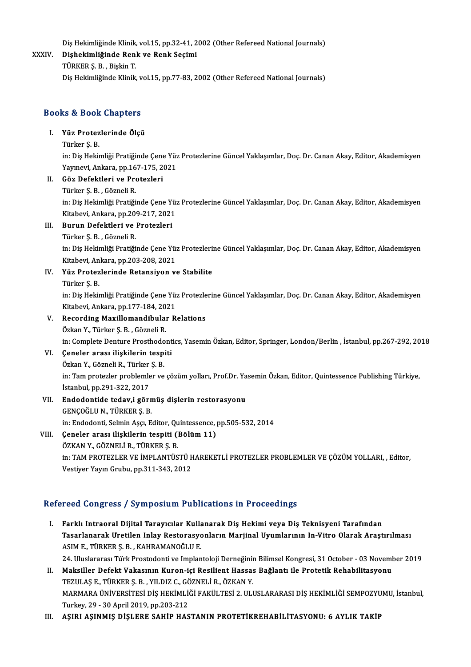Diş Hekimliğinde Klinik, vol.15, pp.32-41, 2002 (Other Refereed National Journals)<br>Pishekimliğinde Rank ve Rank Sesimi

#### XXXIV. Dişhekimliğinde Renk ve Renk Seçimi Diş Hekimliğinde Klinik,<br><mark>Dişhekimliğinde Ren</mark><br>TÜRKER Ş. B. , Bişkin T.<br>Diş Hekimliğinde Klinik Diş Hekimliğinde Klinik, vol.15, pp.77-83, 2002 (Other Refereed National Journals)

## Dis Hekimiiginde Klinik, v<br>Books & Book Chapters ooks & Book Chapters<br>I. Yüz Protezlerinde Ölçü<br>Türker S B

### I. Yüz Protezlerinde Ölçü<br>Türker S.B.

in: Diş Hekimliği Pratiğinde Çene Yüz Protezlerine Güncel Yaklaşımlar, Doç. Dr. Canan Akay, Editor, Akademisyen Türker Ş. B.<br>in: Diş Hekimliği Pratiğinde Çene Yüz<br>Yayınevi, Ankara, pp.167-175, 2021<br>Göz Defektleri ve Bratesleri

- II. Göz Defektleri ve Protezleri<br>Türker S.B., Gözneli R.
- Yayınevi, Ankara, pp.16<br>Göz Defektleri ve Pro<br>Türker Ş. B. , Gözneli R.<br>in: Dis Heltimliği Protiği Göz Defektleri ve Protezleri<br>Türker Ş. B. , Gözneli R.<br>in: Diş Hekimliği Pratiğinde Çene Yüz Protezlerine Güncel Yaklaşımlar, Doç. Dr. Canan Akay, Editor, Akademisyen<br>Kitabeyi, Ankana, pp.200,217, 2021 Türker Ş. B. , Gözneli R.<br>in: Diş Hekimliği Pratiğinde Çene Yü:<br>Kitabevi, Ankara, pp.209-217, 2021<br>Bunun Defektleri ve Preterleri

### Kitabevi, Ankara, pp.209-217, 2021<br>III. Burun Defektleri ve Protezleri

Türker Ş.B. ,GözneliR.

in: Dis Hekimliği Pratiğinde Çene Yüz Protezlerine Güncel Yaklaşımlar, Doç. Dr. Canan Akay, Editor, Akademisyen Türker Ş. B. , Gözneli R.<br>in: Diş Hekimliği Pratiğinde Çene Yü:<br>Kitabevi, Ankara, pp.203-208, 2021<br>Yüz Protoglerinde Betansiyen v Kitabevi, An<br><mark>Yüz Protez</mark><br>Türker Ş. B.<br>in: Dis Hokit

### IV. Yüz Protezlerinde Retansiyon ve Stabilite

Yüz Protezlerinde Retansiyon ve Stabilite<br>Türker Ş. B.<br>in: Diş Hekimliği Pratiğinde Çene Yüz Protezlerine Güncel Yaklaşımlar, Doç. Dr. Canan Akay, Editor, Akademisyen Türker Ş. B.<br>in: Diş Hekimliği Pratiğinde Çene Yü:<br>Kitabevi, Ankara, pp.177-184, 2021<br>Pesending Maxillemendibuler B Kitabevi, Ankara, pp.177-184, 2021<br>V. Recording Maxillomandibular Relations

ÖzkanY.,Türker Ş.B. ,GözneliR. Recording Maxillomandibular Relations<br>Özkan Y., Türker Ş. B. , Gözneli R.<br>in: Complete Denture Prosthodontics, Yasemin Özkan, Editor, Springer, London/Berlin , İstanbul, pp.267-292, 2018<br>Coneler aresı ilişkilerin tesniti Özkan Y., Türker Ş. B. , Gözneli R.<br>in: Complete Denture Prosthodont<br>VI. Geneler arası ilişkilerin tespiti in: Complete Denture Prosthodo<br>Çeneler arası ilişkilerin tesp:<br>Özkan Y., Gözneli R., Türker Ş. B.<br>in: Tem preterler problemler ve

Çeneler arası ilişkilerin tespiti<br>Özkan Y., Gözneli R., Türker Ş. B.<br>in: Tam protezler problemler ve çözüm yolları, Prof.Dr. Yasemin Özkan, Editor, Quintessence Publishing Türkiye, Özkan Y., Gözneli R., Türker<br>in: Tam protezler problemle<br>İstanbul, pp.291-322, 2017<br>Endedentide tedev i gör in: Tam protezler problemler ve çözüm yolları, Prof.Dr. Ya<br>İstanbul, pp.291-322, 2017<br>VII. Endodontide tedav,i görmüş dişlerin restorasyonu<br>CENCOČLU N. TÜRKER S. B

İstanbul, pp.291-322, 2017<br>Endodontide tedav,i görn<br>GENÇOĞLU N., TÜRKER Ş. B.<br>in: Endodonti Selmin Ascı, E GENÇOĞLU N., TÜRKER Ş. B.<br>in: Endodonti, Selmin Aşçı, Editor, Quintessence, pp.505-532, 2014 GENÇOĞLU N., TÜRKER Ş. B.<br>
in: Endodonti, Selmin Aşçı, Editor, Quintessence, <sub>J</sub><br>
VIII. Ceneler arası ilişkilerin tespiti (Bölüm 11)<br>
ÖZKAN Y. CÖZNELLE TÜRKER S. B

in: Endodonti, Selmin Aşçı, Editor, Qu<br>Çeneler arası ilişkilerin tespiti (İ<br>ÖZKAN Y., GÖZNELİ R., TÜRKER Ş. B.<br>in: TAM PROTEZLER VE İMPLANTÜS Çeneler arası ilişkilerin tespiti (Bölüm 11)<br>ÖZKAN Y., GÖZNELİ R., TÜRKER Ş. B.<br>in: TAM PROTEZLER VE İMPLANTÜSTÜ HAREKETLİ PROTEZLER PROBLEMLER VE ÇÖZÜM YOLLARI, , Editor,<br>Vestiyar Yayın Crubu, np 311 343 3013 ÖZKAN Y., GÖZNELİ R., TÜRKER Ş. B.<br>in: TAM PROTEZLER VE İMPLANTÜSTÜ F<br>Vestiyer Yayın Grubu, pp.311-343, 2012

# Vestiyer Yayın Grubu, pp.311-343, 2012<br>Refereed Congress / Symposium Publications in Proceedings

efereed Congress / Symposium Publications in Proceedings<br>I. Farklı Intraoral Dijital Tarayıcılar Kullanarak Diş Hekimi veya Diş Teknisyeni Tarafından<br>Tasarlanarak Iratilan Inlay Bestarasyonların Marjinal Hyumlarının In Vit Tasarlanarak Üretilen Inlay Restorasyonların Marjinal Uyumlarının In-Vitro Olarak Araştırılması<br>ASIM E., TÜRKER Ş. B. , KAHRAMANOĞLU E. Farklı Intraoral Dijital Tarayıcılar Kulla<br>Tasarlanarak Uretilen Inlay Restorasyo<br>ASIM E., TÜRKER Ş. B. , KAHRAMANOĞLU E.<br>24 Uluslaranası Türk Brastodanti ve İmplan Tasarlanarak Uretilen Inlay Restorasyonların Marjinal Uyumlarının In-Vitro Olarak Araştırılması<br>ASIM E., TÜRKER Ş. B. , KAHRAMANOĞLU E.<br>24. Uluslararası Türk Prostodonti ve Implantoloji Derneğinin Bilimsel Kongresi, 31 Oct

ASIM E., TÜRKER Ş. B. , KAHRAMANOĞLU E.<br>24. Uluslararası Türk Prostodonti ve Implantoloji Derneğinin Bilimsel Kongresi, 31 October - 03 Noveml<br>11. Maksiller Defekt Vakasının Kuron-içi Resilient Hassas Bağlantı ile Prot 24. Uluslararası Türk Prostodonti ve Implantoloji Derneğinin<br>Maksiller Defekt Vakasının Kuron-içi Resilient Hassas<br>TEZULAŞ E., TÜRKER Ş. B. , YILDIZ C., GÖZNELİ R., ÖZKAN Y.<br>MARMARA ÜNİVERSİTESİ DİŞ HEYİM İĞİ FAYÜLTESİ 2. II. Maksiller Defekt Vakasının Kuron-içi Resilient Hassas Bağlantı ile Protetik Rehabilitasyonu<br>TEZULAŞ E., TÜRKER Ş. B. , YILDIZ C., GÖZNELİ R., ÖZKAN Y.<br>MARMARA ÜNİVERSİTESİ DİŞ HEKİMLİĞİ FAKÜLTESİ 2. ULUSLARARASI DİŞ HE TEZULAȘ E., TÜRKER Ș. B., YILDIZ C., GÖZNELİ R., ÖZKAN Y.

III. AŞIRI AŞINMIŞ DİŞLERE SAHİP HASTANIN PROTETİKREHABİLİTASYONU: 6 AYLIK TAKİP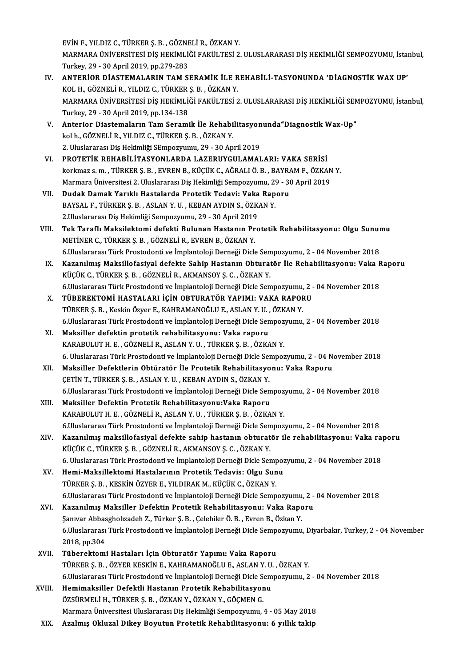EVİNF.,YILDIZ C.,TÜRKERŞ.B. ,GÖZNELİR.,ÖZKANY. EVİN F., YILDIZ C., TÜRKER Ş. B. , GÖZNELİ R., ÖZKAN Y.<br>MARMARA ÜNİVERSİTESİ DİŞ HEKİMLİĞİ FAKÜLTESİ 2. ULUSLARARASI DİŞ HEKİMLİĞİ SEMPOZYUMU, İstanbul,<br>Turkay, 20,, 30, April 3010, pp.270, 282 EVİN F., YILDIZ C., TÜRKER Ş. B. , GÖZNE<br>MARMARA ÜNİVERSİTESİ DİŞ HEKİMLİ<br>Turkey, 29 - 30 April 2019, pp.279-283<br>ANTERİOR DİASTEMALARIN TAM S MARMARA ÜNIVERSİTESI DIŞ HEKİMLIĞI FAKÜLTESI 2. ULUSLARARASI DIŞ HEKİMLIĞI SEMPOZYUMU, İsta:<br>Turkey, 29 - 30 April 2019, pp.279-283<br>IV. ANTERIOR DIASTEMALARIN TAM SERAMİK İLE REHABİLİ-TASYONUNDA 'DIAGNOSTIK WAX UP'<br>KOLU, G

- Turkey, 29 30 April 2019, pp.279-283<br>**ANTERİOR DİASTEMALARIN TAM SERAMİK İLE R**<br>KOL H., GÖZNELİ R., YILDIZ C., TÜRKER Ş. B. , ÖZKAN Y.<br>MARMARA ÜNİVERSİTESİ DİS HEKİMI İĞİ FAKÜLTESİ 3 ANTERİOR DİASTEMALARIN TAM SERAMİK İLE REHABİLİ-TASYONUNDA 'DİAGNOSTİK WAX UP'<br>KOL H., GÖZNELİ R., YILDIZ C., TÜRKER Ş. B. , ÖZKAN Y.<br>MARMARA ÜNİVERSİTESİ DİŞ HEKİMLİĞİ FAKÜLTESİ 2. ULUSLARARASI DİŞ HEKİMLİĞİ SEMPOZYUMU, İ KOL H., GÖZNELİ R., YILDIZ C., TÜRKER<br>MARMARA ÜNİVERSİTESİ DİŞ HEKİMLİ<br>Turkey, 29 - 30 April 2019, pp.134-138<br>Anterior Diastemaların Tam Serami MARMARA ÜNIVERSITESI DIŞ HEKIMLIĞI FAKÜLTESI 2. ULUSLARARASI DIŞ HEKIMLIĞI SEN<br>Turkey, 29 - 30 April 2019, pp.134-138<br>V. Anterior Diastemaların Tam Seramik İle Rehabilitasyonunda"Diagnostik Wax-Up"<br>Iral b. GÖZNELİ B. YU DI
- Turkey, 29 30 April 2019, pp.134-138<br><mark>Anterior Diastemaların Tam Seramik İle Rehabi</mark><br>kol h., GÖZNELİ R., YILDIZ C., TÜRKER Ş. B. , ÖZKAN Y.<br>2. Uluslararası Diş Hakimliği SEmnegyumu. 29., 20 An Anterior Diastemaların Tam Seramik İle Rehabilitasyon<br>kol h., GÖZNELİ R., YILDIZ C., TÜRKER Ş. B. , ÖZKAN Y.<br>2. Uluslararası Diş Hekimliği SEmpozyumu, 29 - 30 April 2019<br>PROTETİK REHARİL İTASYONI ARDA LAZERIIYCILLAMAL kol h., GÖZNELİ R., YILDIZ C., TÜRKER Ş. B. , ÖZKAN Y.<br>2. Uluslararası Diş Hekimliği SEmpozyumu, 29 - 30 April 2019<br>VI. PROTETİK REHABİLİTASYONLARDA LAZERUYGULAMALARI: VAKA SERİSİ<br>korkuzs s. m., TÜRKER S. B., EVREN R., KÜÇ
- 2. Uluslararası Diş Hekimliği SEmpozyumu, 29 30 April 2019<br>PROTETİK REHABİLİTASYONLARDA LAZERUYGULAMALARI: VAKA SERİSİ<br>korkmaz s. m. , TÜRKER Ş. B. , EVREN B., KÜÇÜK C., AĞRALI Ö. B. , BAYRAM F., ÖZKAN Y.<br>Marmara Ünivers PROTETİK REHABİLİTASYONLARDA LAZERUYGULAMALARI: VAKA SERİSİ<br>korkmaz s. m. , TÜRKER Ş. B. , EVREN B., KÜÇÜK C., AĞRALI Ö. B. , BAYRAM F., ÖZKAN<br>Marmara Üniversitesi 2. Uluslararası Diş Hekimliği Sempozyumu, 29 - 30 April 20 korkmaz s. m. , TÜRKER Ş. B. , EVREN B., KÜÇÜK C., AĞRALI Ö. B. , BAYRA<br>Marmara Üniversitesi 2. Uluslararası Diş Hekimliği Sempozyumu, 29 - 3(<br>VII. Dudak Damak Yarıklı Hastalarda Protetik Tedavi: Vaka Raporu<br>PAYSALE TÜ
- Marmara Üniversitesi 2. Uluslararası Diş Hekimliği Sempozyumu, 29<br>Dudak Damak Yarıklı Hastalarda Protetik Tedavi: Vaka Rap<br>BAYSAL F., TÜRKER Ş. B. , ASLAN Y. U. , KEBAN AYDIN S., ÖZKAN Y.<br>2 Uluslararası Diş Hekimliği Sempo Dudak Damak Yarıklı Hastalarda Protetik Tedavi: Vaka<br>BAYSAL F., TÜRKER Ş. B. , ASLAN Y. U. , KEBAN AYDIN S., ÖZK.<br>2.Uluslararası Diş Hekimliği Sempozyumu, 29 - 30 April 2019<br>Tek Taraflı Maksilaktami defekti Bulunan Hastanı
- BAYSAL F., TÜRKER Ş. B. , ASLAN Y. U. , KEBAN AYDIN S., ÖZKAN Y.<br>2.Uluslararası Diş Hekimliği Sempozyumu, 29 30 April 2019<br>VIII. Tek Taraflı Maksilektomi defekti Bulunan Hastanın Protetik Rehabilitasyonu: Olgu Sunumu 2.Uluslararası Diş Hekimliği Sempozyumu, 29 - 30 April 2019<br>Tek Taraflı Maksilektomi defekti Bulunan Hastanın Protetik Rehabilitasyonu: Olgu Sunu:<br>METİNER C., TÜRKER Ş. B. , GÖZNELİ R., EVREN B., ÖZKAN Y.<br>6.Uluslararası Tü Tek Taraflı Maksilektomi defekti Bulunan Hastanın Protetik Rehabilitasyonu: Olgu Sunur<br>METİNER C., TÜRKER Ş. B. , GÖZNELİ R., EVREN B., ÖZKAN Y.<br>6.Uluslararası Türk Prostodonti ve İmplantoloji Derneği Dicle Sempozyumu, 2 -METİNER C., TÜRKER Ş. B. , GÖZNELİ R., EVREN B., ÖZKAN Y.<br>6.Uluslararası Türk Prostodonti ve İmplantoloji Derneği Dicle Sempozyumu, 2 - 04 November 2018<br>IX. Kazanılmış Maksillofasiyal defekte Sahip Hastanın Obturatör İ
- 6.Uluslararası Türk Prostodonti ve İmplantoloji Derneği Dicle Sen<br>Kazanılmış Maksillofasiyal defekte Sahip Hastanın Obturat<br>KÜÇÜK C., TÜRKER Ş. B. , GÖZNELİ R., AKMANSOY Ş. C. , ÖZKAN Y.<br>6 Uluslararası Türk Prestedenti ve Kazanılmış Maksillofasiyal defekte Sahip Hastanın Obturatör İle Rehabilitasyonu: Vaka F<br>KÜÇÜK C., TÜRKER Ş. B. , GÖZNELİ R., AKMANSOY Ş. C. , ÖZKAN Y.<br>6.Uluslararası Türk Prostodonti ve İmplantoloji Derneği Dicle Sempozyum KÜÇÜK C., TÜRKER Ş. B. , GÖZNELİ R., AKMANSOY Ş. C. , ÖZKAN Y.<br>6.Uluslararası Türk Prostodonti ve İmplantoloji Derneği Dicle Sempozyumu, 2 -<br>X. TÜBEREKTOMİ HASTALARI İÇİN OBTURATÖR YAPIMI: VAKA RAPORU<br>TÜBKER S. B. Ko
- 6.Uluslararası Türk Prostodonti ve İmplantoloji Derneği Dicle Sempozyumu,<br>TÜBEREKTOMİ HASTALARI İÇİN OBTURATÖR YAPIMI: VAKA RAPOF<br>TÜRKER Ş. B. , Keskin Özyer E., KAHRAMANOĞLU E., ASLAN Y. U. , ÖZKAN Y.<br>6 Uluslararası Türk TÜBEREKTOMİ HASTALARI İÇİN OBTURATÖR YAPIMI: VAKA RAPORU<br>TÜRKER Ş. B. , Keskin Özyer E., KAHRAMANOĞLU E., ASLAN Y. U. , ÖZKAN Y.<br>6.Uluslararası Türk Prostodonti ve İmplantoloji Derneği Dicle Sempozyumu, 2 - 04 November 201 TÜRKER Ş. B. , Keskin Özyer E., KAHRAMANOĞLU E., ASLAN Y. U. , ÖZKAN Y.<br>6.Uluslararası Türk Prostodonti ve İmplantoloji Derneği Dicle Sempozyumu,<br>XI. Maksiller defektin protetik rehabilitasyonu: Vaka raporu<br>KARABULUT H. E.
- 6.Uluslararası Türk Prostodonti ve İmplantoloji Derneği Dicle Sempoz<br>Maksiller defektin protetik rehabilitasyonu: Vaka raporu<br>KARABULUT H. E. , GÖZNELİ R., ASLAN Y. U. , TÜRKER Ş. B. , ÖZKAN Y.<br>6. Uluslararası Türk Prostod 6.UluslararasıTürkProstodontive İmplantolojiDerneğiDicle Sempozyumu,2 -04November 2018 KARABULUT H. E. , GÖZNELİ R., ASLAN Y. U. , TÜRKER Ş. B. , ÖZKAN Y.<br>6. Uluslararası Türk Prostodonti ve İmplantoloji Derneği Dicle Sempozyumu, 2 - 04 N.<br>XII. Maksiller Defektlerin Obtüratör İle Protetik Rehabilitasyonu: Va
- 6. Uluslararası Türk Prostodonti ve İmplantoloji Derneği Dicle Ser<br>Maksiller Defektlerin Obtüratör İle Protetik Rehabilitasyo<br>ÇETİN T., TÜRKER Ş. B. , ASLAN Y. U. , KEBAN AYDIN S., ÖZKAN Y.<br>6 Uluslararası Türk Prostodonti 6. ÇETİN T., TÜRKER Ş. B. , ASLAN Y. U. , KEBAN AYDIN S., ÖZKAN Y.<br>6.Uluslararası Türk Prostodonti ve İmplantoloji Derneği Dicle Sempozyumu, 2 - 04 November 2018 CETİN T., TÜRKER Ş. B. , ASLAN Y. U. , KEBAN AYDIN S., ÖZKAN Y.<br>6.Uluslararası Türk Prostodonti ve İmplantoloji Derneği Dicle Sem<br>XIII. Maksiller Defektin Protetik Rehabilitasyonu:Vaka Raporu<br>8. KARAPULLIT.H. E. CÖZNELİ B.
- 6.Uluslararası Türk Prostodonti ve İmplantoloji Derneği Dicle Sempoz<br>Maksiller Defektin Protetik Rehabilitasyonu:Vaka Raporu<br>KARABULUT H. E. , GÖZNELİ R., ASLAN Y. U. , TÜRKER Ş. B. , ÖZKAN Y.<br>6 Uluslararası Türk Prostodon 6. KARABULUT H. E. , GÖZNELİ R., ASLAN Y. U. , TÜRKER Ş. B. , ÖZKAN Y.<br>6.Uluslararası Türk Prostodonti ve İmplantoloji Derneği Dicle Sempozyumu, 2 - 04 November 2018 KARABULUT H. E. , GÖZNELİ R., ASLAN Y. U. , TÜRKER Ş. B. , ÖZKAN Y.<br>6.Uluslararası Türk Prostodonti ve İmplantoloji Derneği Dicle Sempozyumu, 2 - 04 November 2018<br>XIV. Kazanılmış maksillofasiyal defekte sahip hastanın
- 6.Uluslararası Türk Prostodonti ve İmplantoloji Derneği Dicle Sen<br>Kazanılmış maksillofasiyal defekte sahip hastanın obturat<br>KÜÇÜK C., TÜRKER Ş. B. , GÖZNELİ R., AKMANSOY Ş. C. , ÖZKAN Y.<br>6. Uluslararası Türk Prestedenti ve Kazanılmış maksillofasiyal defekte sahip hastanın obturatör ile rehabilitasyonu: Vaka ra<sub>l</sub><br>KÜÇÜK C., TÜRKER Ş. B. , GÖZNELİ R., AKMANSOY Ş. C. , ÖZKAN Y.<br>6. Uluslararası Türk Prostodonti ve İmplantoloji Derneği Dicle Semp KÜÇÜK C., TÜRKER Ş. B. , GÖZNELİ R., AKMANSOY Ş. C. , ÖZKAN Y.<br>6. Uluslararası Türk Prostodonti ve İmplantoloji Derneği Dicle Sempoz<br>XV. Hemi-Maksillektomi Hastalarının Protetik Tedavis: Olgu Sunu<br>TÜRKER S. R. KESKİN Ö
- 6. Uluslararası Türk Prostodonti ve İmplantoloji Derneği Dicle Semp<br>Hemi-Maksillektomi Hastalarının Protetik Tedavis: Olgu Sun<br>TÜRKER Ş. B. , KESKİN ÖZYER E., YILDIRAK M., KÜÇÜK C., ÖZKAN Y.<br>6 Uluslararası Türk Prostodonti TÜRKER Ş. B. , KESKİN ÖZYER E., YILDIRAK M., KÜÇÜK C., ÖZKAN Y.<br>6.Uluslararası Türk Prostodonti ve İmplantoloji Derneği Dicle Sempozyumu, 2 - 04 November 2018 TÜRKER Ş. B. , KESKİN ÖZYER E., YILDIRAK M., KÜÇÜK C., ÖZKAN Y.<br>6.Uluslararası Türk Prostodonti ve İmplantoloji Derneği Dicle Sempozyumu, 2 -<br>XVI. Kazanılmış Maksiller Defektin Protetik Rehabilitasyonu: Vaka Raporu<br>Sanyar
- 6.Uluslararası Türk Prostodonti ve İmplantoloji Derneği Dicle Sempozyumu<br>Kazanılmış Maksiller Defektin Protetik Rehabilitasyonu: Vaka Rapo<br>Şanıvar Abbasgholızadeh Z., Türker Ş.B. , Çelebiler Ö.B. , Evren B., Özkan Y.<br>6 Ulu Kazanılmış Maksiller Defektin Protetik Rehabilitasyonu: Vaka Raporu<br>Şanıvar Abbasgholızadeh Z., Türker Ş. B. , Çelebiler Ö. B. , Evren B., Özkan Y.<br>6.Uluslararası Türk Prostodonti ve İmplantoloji Derneği Dicle Sempozyumu, Şanıvar Abbasgholızadeh Z., Türker Ş. B. , Çelebiler Ö. B. , Evren B., Özkan Y.<br>6.Uluslararası Türk Prostodonti ve İmplantoloji Derneği Dicle Sempozyumu,<br>2018, pp.304<br>Tüberektomi Hastaları İçin Obturatör Yapımı: Vaka Rapor 6.Uluslararası Türk Prostodonti ve İmplantoloji Derneği Dicle Semp<br>2018, pp.304<br>XVII. Tüberektomi Hastaları İçin Obturatör Yapımı: Vaka Raporu<br>Tüpken S. B. ÖZVER KESKİN E. KAHRAMANOĞLU E. ASLAN Y. U
- TÜRKERŞ.B. ,ÖZYERKESKİNE.,KAHRAMANOĞLUE.,ASLANY.U. ,ÖZKANY. Tüberektomi Hastaları İçin Obturatör Yapımı: Vaka Raporu<br>TÜRKER Ş. B. , ÖZYER KESKİN E., KAHRAMANOĞLU E., ASLAN Y. U. , ÖZKAN Y.<br>6.Uluslararası Türk Prostodonti ve İmplantoloji Derneği Dicle Sempozyumu, 2 - 04 November 201
- XVIII. Hemimaksiller Defektli Hastanın Protetik Rehabilitasyonu<br>ÖZSÜRMELİ H., TÜRKER Ş. B. , ÖZKAN Y., ÖZKAN Y., GÖÇMEN G. 6.Uluslararası Türk Prostodonti ve İmplantoloji Derneği Dicle Santinaksiller Defektli Hastanın Protetik Rehabilitasyor<br>ÖZSÜRMELİ H., TÜRKER Ş. B. , ÖZKAN Y., ÖZKAN Y., GÖÇMEN G.<br>Marmara Üniversitesi Uluslararası Diş Hakiml Marmara Üniversitesi Uluslararası Diş Hekimliği Sempozyumu, 4 - 05 May 2018
- XIX. Azalmış Okluzal Dikey Boyutun Protetik Rehabilitasyonu: 6 yıllık takip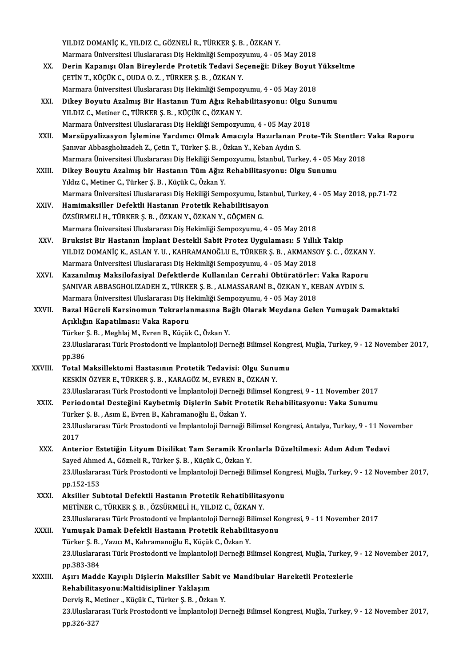YILDIZ DOMANİÇ K., YILDIZ C., GÖZNELİ R., TÜRKER Ş. B., ÖZKAN Y. YILDIZ DOMANİÇ K., YILDIZ C., GÖZNELİ R., TÜRKER Ş. B. , ÖZKAN Y.<br>Marmara Üniversitesi Uluslararası Diş Hekimliği Sempozyumu, 4 - 05 May 2018<br>Derin Kananısı Olan Binaylanda Pratatik Tadayi Sesanağı: Dikay Boyut

- YILDIZ DOMANİÇ K., YILDIZ C., GÖZNELİ R., TÜRKER Ş. B. , ÖZKAN Y.<br>Marmara Üniversitesi Uluslararası Diş Hekimliği Sempozyumu, 4 05 May 2018<br>XX. Derin Kapanışı Olan Bireylerde Protetik Tedavi Seçeneği: Dikey Boyut Yükselt Marmara Üniversitesi Uluslararası Diş Hekimliği Sempozy<br>Derin Kapanışı Olan Bireylerde Protetik Tedavi Se<br>ÇETİN T., KÜÇÜK C., OUDA O. Z. , TÜRKER Ş. B. , ÖZKAN Y.<br>Marmara Üniversitesi Uluslararası Dis Hekimliği Semperr Derin Kapanışı Olan Bireylerde Protetik Tedavi Seçeneği: Dikey Boyut<br>ÇETİN T., KÜÇÜK C., OUDA O. Z. , TÜRKER Ş. B. , ÖZKAN Y.<br>Marmara Üniversitesi Uluslararası Diş Hekimliği Sempozyumu, 4 - 05 May 2018<br>Dikey Boyutu Azalmış
- CETİN T., KÜÇÜK C., OUDA O. Z. , TÜRKER Ş. B. , ÖZKAN Y.<br>Marmara Üniversitesi Uluslararası Diş Hekimliği Sempozyumu, 4 05 May 2018<br>XXI. Dikey Boyutu Azalmış Bir Hastanın Tüm Ağız Rehabilitasyonu: Olgu Sunumu<br>XII DIZ C. M Marmara Üniversitesi Uluslararası Diş Hekimliği Sempozyumu, 4 - 05 May 2018<br>Dikey Boyutu Azalmış Bir Hastanın Tüm Ağız Rehabilitasyonu: Olgu Su<br>YILDIZ C., Metiner C., TÜRKER Ş. B. , KÜÇÜK C., ÖZKAN Y.<br>Marmara Üniversitesi Dikey Boyutu Azalmış Bir Hastanın Tüm Ağız Rehabilitasyonu: Olgu S<br>YILDIZ C., Metiner C., TÜRKER Ş. B. , KÜÇÜK C., ÖZKAN Y.<br>Marmara Üniversitesi Uluslararası Diş Hekiliği Sempozyumu, 4 - 05 May 2018<br>Margünyalizasyon İslami YILDIZ C., Metiner C., TÜRKER Ş. B. , KÜÇÜK C., ÖZKAN Y.<br>Marmara Üniversitesi Uluslararası Diş Hekiliği Sempozyumu, 4 - 05 May 2018<br>XXII. Marsüpyalizasyon İşlemine Yardımcı Olmak Amacıyla Hazırlanan Prote-Tik Stentler: Vak
- Şanıvar Abbasgholızadeh Z., Çetin T., Türker Ş. B., Özkan Y., Keban Aydın S. Marsüpyalizasyon İşlemine Yardımcı Olmak Amacıyla Hazırlanan Prote-Tik Stentler:<br>Şanıvar Abbasgholızadeh Z., Çetin T., Türker Ş. B. , Özkan Y., Keban Aydın S.<br>Marmara Üniversitesi Uluslararası Diş Hekiliği Sempozyumu, İsta Marmara Üniversitesi Uluslararası Diş Hekiliği Sempozyumu, İstanbul, Turkey, 4 - 05 May 2018<br>XXIII. Dikey Bouytu Azalmış bir Hastanın Tüm Ağız Rehabilitasyonu: Olgu Sunumu
- Yıldız C., Metiner C., Türker Ş. B., Küçük C., Özkan Y. Di<mark>key Bouytu Azalmış bir Hastanın Tüm Ağız Rehabilitasyonu: Olgu Sunumu</mark><br>Yıldız C., Metiner C., Türker Ş. B. , Küçük C., Özkan Y.<br>Marmara Üniversitesi Uluslararası Diş Hekiliği Sempozyumu, İstanbul, Turkey, 4 - 05 May 201 Yıldız C., Metiner C., Türker Ş. B. , Küçük C., Özkan Y.<br>Marmara Üniversitesi Uluslararası Diş Hekiliği Sempozyumu, İstan<br>XXIV. Hamimaksiller Defektli Hastanın Protetik Rehabilitisayon<br>ÖZEÜDMELİ U. TÜRKER S. B. ÖZKAN V
- Marmara Üniversitesi Uluslararası Diş Hekiliği Sempozyumu, İst<br>Hamimaksiller Defektli Hastanın Protetik Rehabilitisayo<br>ÖZSÜRMELİ H., TÜRKER Ş. B. , ÖZKAN Y., ÖZKAN Y., GÖÇMEN G.<br>Marmara Üniversitesi Uluslararası Diş Hekiml Hamimaksiller Defektli Hastanın Protetik Rehabilitisayon<br>ÖZSÜRMELİ H., TÜRKER Ş. B. , ÖZKAN Y., ÖZKAN Y., GÖÇMEN G.<br>Marmara Üniversitesi Uluslararası Diş Hekimliği Sempozyumu, 4 - 05 May 2018
- XXV. Bruksist Bir Hastanın İmplant Destekli Sabit Protez Uygulaması: 5 Yıllık Takip Marmara Üniversitesi Uluslararası Diş Hekimliği Sempozyumu, 4 - 05 May 2018<br>Bruksist Bir Hastanın İmplant Destekli Sabit Protez Uygulaması: 5 Yıllık Takip<br>YILDIZ DOMANİÇ K., ASLAN Y. U. , KAHRAMANOĞLU E., TÜRKER Ş. B. , AK Marmara Üniversitesi Uluslararası Diş Hekimliği Sempozyumu, 4 - 05 May 2018 YILDIZ DOMANİÇ K., ASLAN Y. U. , KAHRAMANOĞLU E., TÜRKER Ş. B. , AKMANSOY Ş. C. , ÖZKAN Y.<br>Marmara Üniversitesi Uluslararası Diş Hekimliği Sempozyumu, 4 - 05 May 2018<br>XXVI. Kazanılmış Maksilofasiyal Defektlerde Kullanılan
- Kazanılmış Maksilofasiyal Defektlerde Kullanılan Cerrahi Obtüratörler: Vaka Raporu<br>ŞANIVAR ABBASGHOLIZADEH Z., TÜRKER Ş. B. , ALMASSARANİ B., ÖZKAN Y., KEBAN AYDIN S. Kazanılmış Maksilofasiyal Defektlerde Kullanılan Cerrahi Obtüratörler:<br>ŞANIVAR ABBASGHOLIZADEH Z., TÜRKER Ş. B. , ALMASSARANİ B., ÖZKAN Y., KE<br>Marmara Üniversitesi Uluslararası Diş Hekimliği Sempozyumu, 4 - 05 May 2018<br>Par ŞANIVAR ABBASGHOLIZADEH Z., TÜRKER Ş. B. , ALMASSARANİ B., ÖZKAN Y., KEBAN AYDIN S.<br>Marmara Üniversitesi Uluslararası Diş Hekimliği Sempozyumu, 4 - 05 May 2018<br>XXVII. Bazal Hücreli Karsinomun Tekrarlanmasına Bağlı Olarak M
- Marmara Üniversitesi Uluslararası Diş H<br>Bazal Hücreli Karsinomun Tekrarlaı<br>Açıklığın Kapatılması: Vaka Raporu<br>Türker S. B., Meshlai M., Euron B., Küçül Bazal Hücreli Karsinomun Tekrarlanmasına Ba<br>Açıklığın Kapatılması: Vaka Raporu<br>Türker Ş.B., Meghlaj M., Evren B., Küçük C., Özkan Y.<br>22 Uluslararası Türk Prestedenti ve İmplantaleji Der Açıklığın Kapatılması: Vaka Raporu<br>Türker Ş. B. , Meghlaj M., Evren B., Küçük C., Özkan Y.<br>23.Uluslararası Türk Prostodonti ve İmplantoloji Derneği Bilimsel Kongresi, Muğla, Turkey, 9 - 12 November 2017,<br>pp.386 Türker S. B., Meghlaj M., Evren B., Küçük C., Özkan Y.
- 23.Uluslararası Türk Prostodonti ve İmplantoloji Derneği Bilimsel Kongi<br>pp.386<br>XXVIII. Total Maksillektomi Hastasının Protetik Tedavisi: Olgu Sunumu<br>ERSKİN ÖZVER E TÜRKER S R. KARACÖZ M EVREN R ÖZKAN V
- pp.386<br>Total Maksillektomi Hastasının Protetik Tedavisi: Olgu Sunu<br>KESKİN ÖZYER E., TÜRKER Ş. B. , KARAGÖZ M., EVREN B., ÖZKAN Y.<br>22 Uluslanares: Türk Prestedenti ve İmplanteleji Derneği Bilimsel K 23.Uluslararası TürkER Ş. B. , KARAGÖZ M., EVREN B., ÖZKAN Y.<br>23.Uluslararası Türk Prostodonti ve İmplantoloji Derneği Bilimsel Kongresi, 9 - 11 November 2017 KESKİN ÖZYER E., TÜRKER Ş. B. , KARAGÖZ M., EVREN B., ÖZKAN Y.<br>23.Uluslararası Türk Prostodonti ve İmplantoloji Derneği Bilimsel Kongresi, 9 - 11 November 2017<br>XXIX. Periodontal Desteğini Kaybetmiş Dişlerin Sabit Protetik
- 23.Uluslararası Türk Prostodonti ve İmplantoloji Derneği<br>Periodontal Desteğini Kaybetmiş Dişlerin Sabit Pro<br>Türker Ş. B. , Asım E., Evren B., Kahramanoğlu E., Özkan Y.<br>23 Uluslararası Türk Prestedenti ve İmplantoloji Derne Periodontal Desteğini Kaybetmiş Dişlerin Sabit Protetik Rehabilitasyonu: Vaka Sunumu<br>Türker Ş. B. , Asım E., Evren B., Kahramanoğlu E., Özkan Y.<br>23.Uluslararası Türk Prostodonti ve İmplantoloji Derneği Bilimsel Kongresi, A Türker Ş. B. , Asım E., Evren B., Kahramanoğlu E., Özkan Y.<br>23.Uluslararası Türk Prostodonti ve İmplantoloji Derneği Bilimsel Kongresi, Antalya, Turkey, 9 - 11 November<br>2017 23.Uluslararası Türk Prostodonti ve İmplantoloji Derneği Bilimsel Kongresi, Antalya, Turkey, 9 - 11 Nov<br>2017<br>XXX. Anterior Estetiğin Lityum Disilikat Tam Seramik Kronlarla Düzeltilmesi: Adım Adım Tedavi<br>Savad Ahmad A. Görn
- 2017<br>Anterior Estetiğin Lityum Disilikat Tam Seramik Krol<br>Sayed Ahmed A., Gözneli R., Türker Ş. B. , Küçük C., Özkan Y.<br>22 Uluslararası Türk Prestedenti ve İmplanteleji Derneği Pi Anterior Estetiğin Lityum Disilikat Tam Seramik Kronlarla Düzeltilmesi: Adım Adım Tedavi<br>Sayed Ahmed A., Gözneli R., Türker Ş. B. , Küçük C., Özkan Y.<br>23.Uluslararası Türk Prostodonti ve İmplantoloji Derneği Bilimsel Kongr Sayed Ahme<br>23.Uluslarar<br>pp.152-153<br>Aksillor Sul 23.Uluslararası Türk Prostodonti ve İmplantoloji Derneği Bilimsel Kon<br>pp.152-153<br>XXXI. Aksiller Subtotal Defektli Hastanın Protetik Rehatibilitasyonu<br>METİNER G. TÜRKER S. R. ÖZSÜRMELİ H. VILDIZ GÖZKAN V
- pp.152-153<br>Aksiller Subtotal Defektli Hastanın Protetik Rehatibilitasyonu<br>METİNER C., TÜRKER Ş. B. , ÖZSÜRMELİ H., YILDIZ C., ÖZKAN Y. Aksiller Subtotal Defektli Hastanın Protetik Rehatibilitasyonu<br>METİNER C., TÜRKER Ş. B. , ÖZSÜRMELİ H., YILDIZ C., ÖZKAN Y.<br>23.Uluslararası Türk Prostodonti ve İmplantoloji Derneği Bilimsel Kongresi, 9 - 11 November 2017<br>Y

#### XXXII. Yumuşak Damak Defektli Hastanın Protetik Rehabilitasyonu 23.Uluslararası Türk Prostodonti ve İmplantoloji Derneği B.<br>**Yumuşak Damak Defektli Hastanın Protetik Rehabilit**<br>Türker Ş. B. , Yazıcı M., Kahramanoğlu E., Küçük C., Özkan Y.<br>22 Hluslararası Türk Prestodonti ve İmplantoloj 23.Uluslararası Türk Prostodonti ve İmplantoloji Derneği Bilimsel Kongresi, Muğla, Turkey, 9 - 12 November 2017,<br>pp.383-384 Türker Ş. B., Yazıcı M., Kahramanoğlu E., Küçük C., Özkan Y. 23.Uluslararası Türk Prostodonti ve İmplantoloji Derneği Bilimsel Kongresi, Muğla, Turkey, '<br>pp.383-384<br>XXXIII. Aşırı Madde Kayıplı Dişlerin Maksiller Sabit ve Mandibular Hareketli Protezlerle<br>Pehabilitasyanu Makidisinline

pp.383-384<br>Aşırı Madde Kayıplı Dişlerin Maksiller Sab<br>Rehabilitasyonu:Maltidisipliner Yaklaşım<br>Dewis B. Metiner, Küsük G. Türker S. B. Örke Aşırı Madde Kayıplı Dişlerin Maksiller Sabit v<br>Rehabilitasyonu:Maltidisipliner Yaklaşım<br>Derviş R., Metiner ., Küçük C., Türker Ş. B. , Özkan Y.<br>22 Uluslararası Türk Prestodorti ve İmplantalaji D. Rehabilitasyonu:Maltidisipliner Yaklaşım<br>Derviş R., Metiner ., Küçük C., Türker Ş. B. , Özkan Y.<br>23.Uluslararası Türk Prostodonti ve İmplantoloji Derneği Bilimsel Kongresi, Muğla, Turkey, 9 - 12 November 2017,<br>pp.326-327 Derviş R., Metiner, Küçük C., Türker Ş. B., Özkan Y.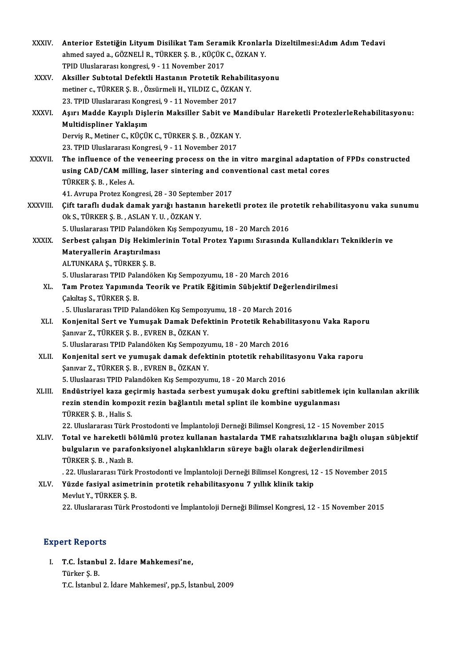| XXXIV.        | Anterior Estetiğin Lityum Disilikat Tam Seramik Kronlarla Dizeltilmesi:Adım Adım Tedavi                                    |
|---------------|----------------------------------------------------------------------------------------------------------------------------|
|               | ahmed sayed a., GÖZNELİ R., TÜRKER Ş. B., KÜÇÜK C., ÖZKAN Y.                                                               |
|               | TPID Uluslararası kongresi, 9 - 11 November 2017                                                                           |
| XXXV.         | Aksiller Subtotal Defektli Hastanın Protetik Rehabilitasyonu                                                               |
|               | metiner c., TÜRKER Ş. B., Özsürmeli H., YILDIZ C., ÖZKAN Y.                                                                |
|               | 23. TPID Uluslararası Kongresi, 9 - 11 November 2017                                                                       |
| XXXVI.        | Aşırı Madde Kayıplı Dişlerin Maksiller Sabit ve Mandibular Hareketli ProtezlerleRehabilitasyonu:                           |
|               | Multidispliner Yaklaşım                                                                                                    |
|               | Derviş R., Metiner C., KÜÇÜK C., TÜRKER Ş. B., ÖZKAN Y.                                                                    |
|               | 23. TPID Uluslararası Kongresi, 9 - 11 November 2017                                                                       |
| <b>XXXVII</b> | The influence of the veneering process on the in vitro marginal adaptation of FPDs constructed                             |
|               | using CAD/CAM milling, laser sintering and conventional cast metal cores                                                   |
|               | TÜRKER S. B., Keles A.                                                                                                     |
|               | 41. Avrupa Protez Kongresi, 28 - 30 September 2017                                                                         |
| XXXVIII.      | Çift taraflı dudak damak yarığı hastanın hareketli protez ile protetik rehabilitasyonu vaka sunumu                         |
|               | Ok S., TÜRKER Ş. B., ASLAN Y. U., ÖZKAN Y.                                                                                 |
|               | 5. Uluslararası TPID Palandöken Kış Sempozyumu, 18 - 20 March 2016                                                         |
| <b>XXXIX</b>  | Serbest çalışan Diş Hekimlerinin Total Protez Yapımı Sırasında Kullandıkları Tekniklerin ve<br>Materyallerin Araştırılması |
|               | ALTUNKARA Ş., TÜRKER Ş. B.                                                                                                 |
|               | 5. Uluslararası TPID Palandöken Kış Sempozyumu, 18 - 20 March 2016                                                         |
| XL.           | Tam Protez Yapımında Teorik ve Pratik Eğitimin Sübjektif Değerlendirilmesi                                                 |
|               | Çakıltaş S., TÜRKER Ş. B.                                                                                                  |
|               | . 5. Uluslararası TPID Palandöken Kış Sempozyumu, 18 - 20 March 2016                                                       |
| XLI.          | Konjenital Sert ve Yumuşak Damak Defektinin Protetik Rehabilitasyonu Vaka Raporu                                           |
|               | Şanıvar Z., TÜRKER Ş. B., EVREN B., ÖZKAN Y.                                                                               |
|               | 5. Uluslararası TPID Palandöken Kış Sempozyumu, 18 - 20 March 2016                                                         |
| XLII.         | Konjenital sert ve yumuşak damak defektinin ptotetik rehabilitasyonu Vaka raporu                                           |
|               | Şanıvar Z., TÜRKER Ş. B., EVREN B., ÖZKAN Y.                                                                               |
|               | 5. Uluslaarası TPID Palandöken Kış Sempozyumu, 18 - 20 March 2016                                                          |
| XLIII.        | Endüstriyel kaza geçirmiş hastada serbest yumuşak doku greftini sabitlemek için kullanılan akrilik                         |
|               | rezin stendin kompozit rezin bağlantılı metal splint ile kombine uygulanması                                               |
|               | TÜRKER Ş. B., Halis S.                                                                                                     |
|               | 22. Uluslararası Türk Prostodonti ve İmplantoloji Derneği Bilimsel Kongresi, 12 - 15 November 2015                         |
| XLIV.         | Total ve hareketli bölümlü protez kullanan hastalarda TME rahatsızlıklarına bağlı oluşan sübjektif                         |
|               | bulguların ve parafonksiyonel alışkanlıkların süreye bağlı olarak değerlendirilmesi                                        |
|               | TÜRKER Ş. B., Nazlı B.                                                                                                     |
|               | . 22. Uluslararası Türk Prostodonti ve İmplantoloji Derneği Bilimsel Kongresi, 12 - 15 November 2015                       |
| XLV.          | Yüzde fasiyal asimetrinin protetik rehabilitasyonu 7 yıllık klinik takip                                                   |
|               | Mevlut Y, TÜRKER Ş B                                                                                                       |
|               | 22. Uluslararası Türk Prostodonti ve İmplantoloji Derneği Bilimsel Kongresi, 12 - 15 November 2015                         |

#### **Expert Reports**

I. T.C. İstanbul 2. İdare Mahkemesi'ne,

Türker Ş.B.

T.C. İstanbul 2. İdare Mahkemesi', pp.5, İstanbul, 2009